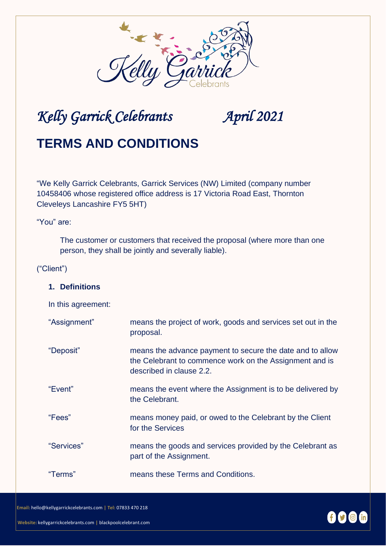

# *Kelly Garrick Celebrants April 2021*

## **TERMS AND CONDITIONS**

"We Kelly Garrick Celebrants, Garrick Services (NW) Limited (company number 10458406 whose registered office address is 17 Victoria Road East, Thornton Cleveleys Lancashire FY5 5HT)

"You" are:

The customer or customers that received the proposal (where more than one person, they shall be jointly and severally liable).

#### ("Client")

#### **1. Definitions**

In this agreement:

| "Assignment" | means the project of work, goods and services set out in the<br>proposal.                                                                        |
|--------------|--------------------------------------------------------------------------------------------------------------------------------------------------|
| "Deposit"    | means the advance payment to secure the date and to allow<br>the Celebrant to commence work on the Assignment and is<br>described in clause 2.2. |
| "Event"      | means the event where the Assignment is to be delivered by<br>the Celebrant.                                                                     |
| "Fees"       | means money paid, or owed to the Celebrant by the Client<br>for the Services                                                                     |
| "Services"   | means the goods and services provided by the Celebrant as<br>part of the Assignment.                                                             |
| "Terms"      | means these Terms and Conditions.                                                                                                                |

**Email:** [hello@kellygarrickcelebrants.com](mailto:kelly@kellygarrickcelebrants.com) **| Tel:** 07833 470 218

 **Website:** kellygarrickcelebrants.com **|** blackpoolcelebrant.com

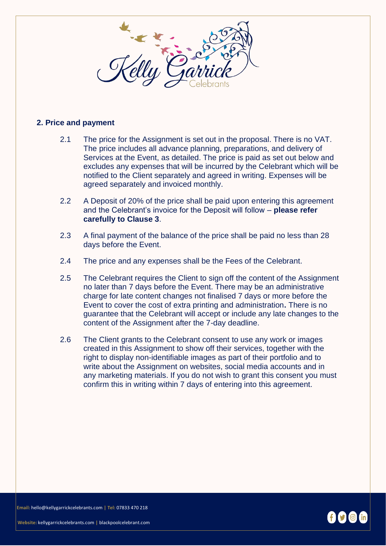

#### **2. Price and payment**

- 2.1 The price for the Assignment is set out in the proposal. There is no VAT. The price includes all advance planning, preparations, and delivery of Services at the Event, as detailed. The price is paid as set out below and excludes any expenses that will be incurred by the Celebrant which will be notified to the Client separately and agreed in writing. Expenses will be agreed separately and invoiced monthly.
- 2.2 A Deposit of 20% of the price shall be paid upon entering this agreement and the Celebrant's invoice for the Deposit will follow – **please refer carefully to Clause 3**.
- 2.3 A final payment of the balance of the price shall be paid no less than 28 days before the Event.
- 2.4 The price and any expenses shall be the Fees of the Celebrant.
- 2.5 The Celebrant requires the Client to sign off the content of the Assignment no later than 7 days before the Event. There may be an administrative charge for late content changes not finalised 7 days or more before the Event to cover the cost of extra printing and administration**.** There is no guarantee that the Celebrant will accept or include any late changes to the content of the Assignment after the 7-day deadline.
- 2.6 The Client grants to the Celebrant consent to use any work or images created in this Assignment to show off their services, together with the right to display non-identifiable images as part of their portfolio and to write about the Assignment on websites, social media accounts and in any marketing materials. If you do not wish to grant this consent you must confirm this in writing within 7 days of entering into this agreement.

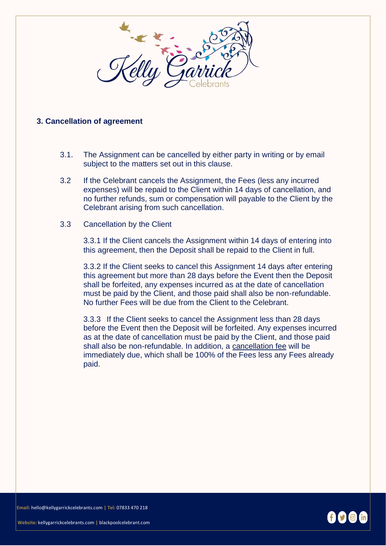

### **3. Cancellation of agreement**

- 3.1. The Assignment can be cancelled by either party in writing or by email subject to the matters set out in this clause.
- 3.2 If the Celebrant cancels the Assignment, the Fees (less any incurred expenses) will be repaid to the Client within 14 days of cancellation, and no further refunds, sum or compensation will payable to the Client by the Celebrant arising from such cancellation.
- 3.3 Cancellation by the Client

3.3.1 If the Client cancels the Assignment within 14 days of entering into this agreement, then the Deposit shall be repaid to the Client in full.

3.3.2 If the Client seeks to cancel this Assignment 14 days after entering this agreement but more than 28 days before the Event then the Deposit shall be forfeited, any expenses incurred as at the date of cancellation must be paid by the Client, and those paid shall also be non-refundable. No further Fees will be due from the Client to the Celebrant.

3.3.3 If the Client seeks to cancel the Assignment less than 28 days before the Event then the Deposit will be forfeited. Any expenses incurred as at the date of cancellation must be paid by the Client, and those paid shall also be non-refundable. In addition, a cancellation fee will be immediately due, which shall be 100% of the Fees less any Fees already paid.

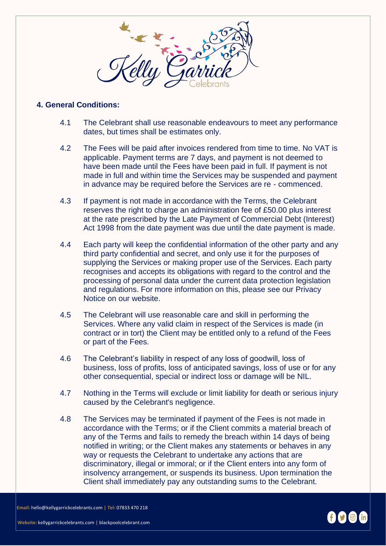

#### **4. General Conditions:**

- 4.1 The Celebrant shall use reasonable endeavours to meet any performance dates, but times shall be estimates only.
- 4.2 The Fees will be paid after invoices rendered from time to time. No VAT is applicable. Payment terms are 7 days, and payment is not deemed to have been made until the Fees have been paid in full. If payment is not made in full and within time the Services may be suspended and payment in advance may be required before the Services are re - commenced.
- 4.3 If payment is not made in accordance with the Terms, the Celebrant reserves the right to charge an administration fee of £50.00 plus interest at the rate prescribed by the Late Payment of Commercial Debt (Interest) Act 1998 from the date payment was due until the date payment is made.
- 4.4 Each party will keep the confidential information of the other party and any third party confidential and secret, and only use it for the purposes of supplying the Services or making proper use of the Services. Each party recognises and accepts its obligations with regard to the control and the processing of personal data under the current data protection legislation and regulations. For more information on this, please see our Privacy Notice on our website.
- 4.5 The Celebrant will use reasonable care and skill in performing the Services. Where any valid claim in respect of the Services is made (in contract or in tort) the Client may be entitled only to a refund of the Fees or part of the Fees.
- 4.6 The Celebrant's liability in respect of any loss of goodwill, loss of business, loss of profits, loss of anticipated savings, loss of use or for any other consequential, special or indirect loss or damage will be NIL.
- 4.7 Nothing in the Terms will exclude or limit liability for death or serious injury caused by the Celebrant's negligence.
- 4.8 The Services may be terminated if payment of the Fees is not made in accordance with the Terms; or if the Client commits a material breach of any of the Terms and fails to remedy the breach within 14 days of being notified in writing; or the Client makes any statements or behaves in any way or requests the Celebrant to undertake any actions that are discriminatory, illegal or immoral; or if the Client enters into any form of insolvency arrangement, or suspends its business. Upon termination the Client shall immediately pay any outstanding sums to the Celebrant.



 **Website:** kellygarrickcelebrants.com **|** blackpoolcelebrant.com